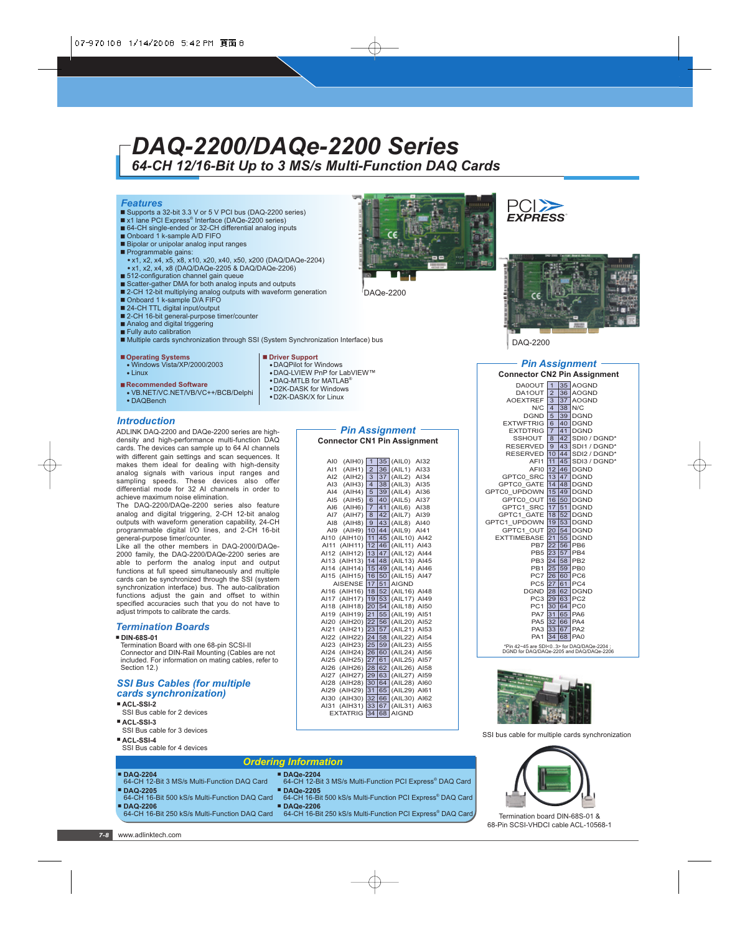# *DAQ-2200/DAQe-2200 Series 64-CH 12/16-Bit Up to 3 MS/s Multi-Function DAQ Cards*

#### *Features*

- Supports a 32-bit 3.3 V or 5 V PCI bus (DAQ-2200 series)
- x1 lane PCI Express® Interface (DAQe-2200 series) ■ 64-CH single-ended or 32-CH differential analog inputs
- Onboard 1 k-sample A/D FIFO
- Bipolar or unipolar analog input ranges
- Programmable gains:
- x1, x2, x4, x5, x8, x10, x20, x40, x50, x200 (DAQ/DAQe-2204) x1, x2, x4, x8 (DAQ/DAQe-2205 & DAQ/DAQe-2206)
- 512-configuration channel gain queue
- Scatter-gather DMA for both analog inputs and outputs
- 2-CH 12-bit multiplying analog outputs with waveform generation
- Onboard 1 k-sample D/A FIFO
- 24-CH TTL digital input/output
- 2-CH 16-bit general-purpose timer/counter
- Analog and digital triggering
- Fully auto calibration
- Multiple cards synchronization through SSI (System Synchronization Interface) bus

#### **Operating Systems**

- Windows Vista/XP/2000/2003 - Linux
- **Recommended Software**
- VB.NET/VC.NET/VB/VC++/BCB/Delphi • DAQBench

#### *Introduction*

ADLINK DAQ-2200 and DAQe-2200 series are highdensity and high-performance multi-function DAQ cards. The devices can sample up to 64 AI channels with different gain settings and scan sequences. It makes them ideal for dealing with high-density analog signals with various input ranges and sampling speeds. These devices also offer differential mode for 32 AI channels in order to achieve maximum noise elimination.

The DAQ-2200/DAQe-2200 series also feature analog and digital triggering, 2-CH 12-bit analog outputs with waveform generation capability, 24-CH programmable digital I/O lines, and 2-CH 16-bit general-purpose timer/counter.

Like all the other members in DAQ-2000/DAQe-2000 family, the DAQ-2200/DAQe-2200 series are able to perform the analog input and output functions at full speed simultaneously and multiple cards can be synchronized through the SSI (system synchronization interface) bus. The auto-calibration functions adjust the gain and offset to within specified accuracies such that you do not have to adjust trimpots to calibrate the cards.

#### *Termination Boards*

#### **DIN-68S-01**

Termination Board with one 68-pin SCSI-II Connector and DIN-Rail Mounting (Cables are not included. For information on mating cables, refer to Section 12.)

#### *SSI Bus Cables (for multiple cards synchronization)*

- **ACL-SSI-2** SSI Bus cable for 2 devices
- **ACL-SSI-3**
- SSI Bus cable for 3 devices **ACL-SSI-4**
- SSI Bus cable for 4 devices

#### **Driver Support**

- DAQPilot for Windows
- DAQ-LVIEW PnP for LabVIEW™
- $\bullet$  DAQ-MTLB for MATLAB®
- D2K-DASK for Windows - D2K-DASK/X for Linux

DAQe-2200





DAQ-2200

#### *Pin Assignment* **CAL2 Pin Assistant**

|                                                                                        |                |         | Connector CNZ PIN ASSignment |  |  |
|----------------------------------------------------------------------------------------|----------------|---------|------------------------------|--|--|
| <b>DA0OUT</b>                                                                          | $\overline{1}$ |         | 35 AOGND                     |  |  |
| DA1OUT                                                                                 | $\overline{2}$ | 36      | <b>AOGND</b>                 |  |  |
| <b>AOEXTREF</b>                                                                        | 3              | 37      | <b>AOGND</b>                 |  |  |
| N/C                                                                                    | $\overline{4}$ | 38      | N/C                          |  |  |
| <b>DGND</b>                                                                            | 5              | 39      | <b>DGND</b>                  |  |  |
| <b>EXTWFTRIG</b>                                                                       | 6              | 140 l   | <b>DGND</b>                  |  |  |
| <b>EXTDTRIG</b>                                                                        | $\overline{7}$ | 41      | <b>DGND</b>                  |  |  |
| SSHOUT                                                                                 | 8              |         | 42 SDI0 / DGND*              |  |  |
| <b>RESERVED</b>                                                                        | 9              |         | 43 SDI1 / DGND*              |  |  |
| <b>RESERVED</b>                                                                        |                |         | 10 44 SDI2 / DGND*           |  |  |
| AFI1                                                                                   |                |         | 11 45 SDI3 / DGND*           |  |  |
| AFI0 12 46                                                                             |                |         | <b>DGND</b>                  |  |  |
| GPTC0 SRC 13 47 DGND                                                                   |                |         |                              |  |  |
| GPTC0 GATE                                                                             |                | 14 48   | <b>DGND</b>                  |  |  |
| GPTC0 UPDOWN                                                                           |                | 15 49   | <b>DGND</b>                  |  |  |
| GPTC0 OUT 16 50                                                                        |                |         | <b>DGND</b>                  |  |  |
| GPTC1 SRC                                                                              |                | $17$ 51 | <b>DGND</b>                  |  |  |
| GPTC1 GATE                                                                             |                | 18 52   | <b>DGND</b>                  |  |  |
| GPTC1 UPDOWN                                                                           |                | 19 53   | <b>DGND</b>                  |  |  |
| GPTC1 OUT                                                                              | 20             |         | 54 DGND                      |  |  |
| <b>EXTTIMEBASE</b>                                                                     | 21             | 55      | <b>DGND</b>                  |  |  |
| PB7                                                                                    | 22             | 56      | PB <sub>6</sub>              |  |  |
| PB <sub>5</sub>                                                                        | 23             | 57      | PB4                          |  |  |
| PB3 24                                                                                 |                | 58      | PB <sub>2</sub>              |  |  |
| PB1                                                                                    | 25             | 59      | PB <sub>0</sub>              |  |  |
| <b>PC7</b> 26                                                                          |                | 60      | PC <sub>6</sub>              |  |  |
| PC5 27                                                                                 |                | 61      | PC4                          |  |  |
| DGND 28                                                                                |                | 62      | <b>DGND</b>                  |  |  |
| PC3 29                                                                                 |                | 63      | PC <sub>2</sub>              |  |  |
| PC1                                                                                    |                | 30 64   | PC <sub>0</sub>              |  |  |
| PA7                                                                                    | 31             | 65      | PA6                          |  |  |
| PA5 32 66                                                                              |                |         | PA4                          |  |  |
| PA3 33                                                                                 |                | 67      | PA <sub>2</sub>              |  |  |
| PA <sub>1</sub>                                                                        | 34             | 68      | PA <sub>0</sub>              |  |  |
| *Pin 42~45 are SDI<03> for DAQ/DAQe-2204 :<br>DGND for DAQ/DAQe-2205 and DAQ/DAQe-2206 |                |         |                              |  |  |



SSI bus cable for multiple cards synchronization



Termination board DIN-68S-01 & 68-Pin SCSI-VHDCI cable ACL-10568-1

## *Pin Assignment*

**Connector CN1 Pin Assignment**

| AIO             | (AIHO)               | 1                        | 35 | (AILO)       | AI32 |
|-----------------|----------------------|--------------------------|----|--------------|------|
| AI1             | (AIH1)               | $\overline{2}$           | 36 | (AIL1)       | AI33 |
| AI2             | (AIH2)               | 3                        | 37 | (AIL2)       | AI34 |
| AI3             | (AIH3)               | $\overline{\mathcal{A}}$ | 38 | (AIL3)       | AI35 |
| A <sub>14</sub> | (AIH4)               | 5                        | 39 | (AIL4)       | AI36 |
| AI5             | (AIH5)               | 6                        | 40 | (AIL5)       | AI37 |
| AI6             | (AIH6)               | $\overline{7}$           | 41 | (AIL6)       | AI38 |
| AI7             | (AIHT)               | 8                        | 42 | (AIL7)       | AI39 |
| AI <sub>8</sub> | (AIH8)               | 9                        | 43 | (AIL8)       | AI40 |
| A19             | (AIH9)               | 10                       | 44 | (AIL9)       | AI41 |
| AI10            | (AIH10)              | 11                       | 45 | (AIL10)      | AI42 |
| AI11            | (AIH11)              | 12                       | 46 | (AIL11)      | AI43 |
| AI12            | (AIH12)              | 13                       | 47 | (AIL12)      | AI44 |
| AI13            | (AIH13)              | 14                       | 48 | (AIL13)      | AI45 |
| AI14            | (AI <sup>H14</sup> ) | 15                       | 49 | (AIL14)      | AI46 |
| AI15            | (AIH15)              | 16                       | 50 | (AIL15)      | AI47 |
|                 | <b>AISENSE</b>       | 17                       | 51 | <b>AIGND</b> |      |
| AI16            | (AIH16)              | 18                       | 52 | (AIL16)      | AI48 |
| AI17            | (AIH17)              | 19                       | 53 | (AIL17)      | AI49 |
| AI18            | (AI <sup>H18</sup> ) | 20                       | 54 | (AIL18)      | AI50 |
| AI19            | (AIH19)              | 21                       | 55 | (AIL19)      | AI51 |
| AI20            | (AIH20)              | 22                       | 56 | (AIL20)      | AI52 |
| AI21            | (AIH21)              | 23                       | 57 | (AIL21)      | AI53 |
| AI22            | (AIH22)              | 24                       | 58 | (AIL22)      | AI54 |
| AI23            | (AIH23)              | 25                       | 59 | (AIL23)      | AI55 |
| AI24            | (AIH24)              | 26                       | 60 | (AIL24)      | AI56 |
| AI25            | (AIH25)              | 27                       | 61 | (AIL25)      | AI57 |
| AI26            | (AIH26)              | 28                       | 62 | (AIL26)      | AI58 |
| AI27            | (AIH27)              | 29                       | 63 | (AIL27)      | AI59 |
| AI28            | (AIH28)              | 30                       | 64 | (AIL28)      | A160 |
| AI29            | (AIH29)              | 31                       | 65 | (AIL29)      | AI61 |
| AI30            | (AIH30)              | 32                       | 66 | (AIL30)      | AI62 |
| AI31            | (AIH31)              | 33                       | 67 | (AIL31)      | AI63 |
|                 | <b>EXTATRIG</b>      | 34                       | 68 | <b>AIGND</b> |      |

| <b>Ordering Information</b>                   |                                                                        |  |  |  |
|-----------------------------------------------|------------------------------------------------------------------------|--|--|--|
| <b>DAQ-2204</b>                               | <b>DAQe-2204</b>                                                       |  |  |  |
| 64-CH 12-Bit 3 MS/s Multi-Function DAQ Card   | 64-CH 12-Bit 3 MS/s Multi-Function PCI Express® DAQ Card               |  |  |  |
| <b>■ DAQ-2205</b>                             | ■ DAQe-2205                                                            |  |  |  |
| 64-CH 16-Bit 500 kS/s Multi-Function DAQ Card | 64-CH 16-Bit 500 kS/s Multi-Function PCI Express® DAQ Card             |  |  |  |
| <b>DAQ-2206</b>                               | ■ DAQe-2206                                                            |  |  |  |
| 64-CH 16-Bit 250 kS/s Multi-Function DAQ Card | 64-CH 16-Bit 250 kS/s Multi-Function PCI Express <sup>®</sup> DAQ Card |  |  |  |
|                                               |                                                                        |  |  |  |

| <b>Pin Assignment</b>      |                             |                |    |                     |      |  |  |  |
|----------------------------|-----------------------------|----------------|----|---------------------|------|--|--|--|
|                            |                             |                |    |                     |      |  |  |  |
| nnector CN1 Pin Assignment |                             |                |    |                     |      |  |  |  |
|                            |                             |                |    |                     |      |  |  |  |
|                            |                             |                |    |                     |      |  |  |  |
| <b>AIO</b>                 | (AIHO)                      |                |    | $1 35 $ (AILO) AI32 |      |  |  |  |
| AI 1                       | $(AIH1)$ 2 36 $(AIL1)$ Al33 |                |    |                     |      |  |  |  |
| <b>AI2</b>                 | (AIH2)                      | 3 <sup>1</sup> |    | $ 37 $ (AIL2) AI34  |      |  |  |  |
| AІЗ                        | (AIH3)                      | $\overline{4}$ | 38 | (AIL3) AI35         |      |  |  |  |
| AI4                        | (AI <sup>H4</sup> )         | 5              | 39 | (AIL4)              | AI36 |  |  |  |
|                            |                             |                |    |                     |      |  |  |  |